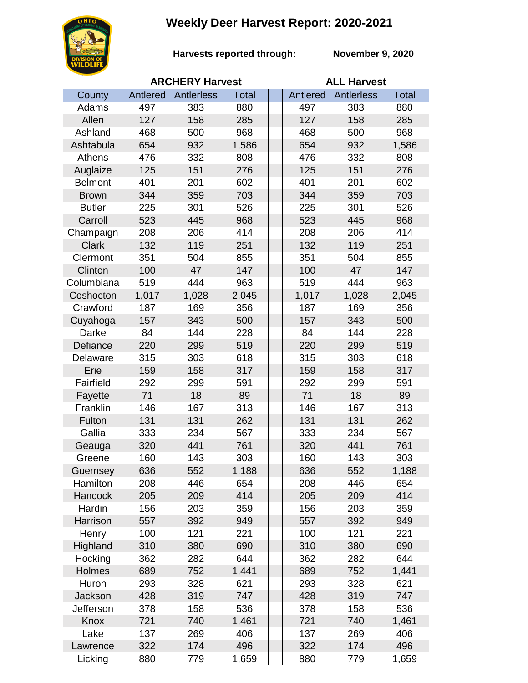## **Weekly Deer Harvest Report: 2020-2021**



**Harvests reported through:** 

**November 9, 2020**

|                | <b>ARCHERY Harvest</b> |            |              |  | <b>ALL Harvest</b> |                   |              |  |
|----------------|------------------------|------------|--------------|--|--------------------|-------------------|--------------|--|
| County         | Antlered               | Antlerless | <b>Total</b> |  | Antlered           | <b>Antlerless</b> | <b>Total</b> |  |
| Adams          | 497                    | 383        | 880          |  | 497                | 383               | 880          |  |
| Allen          | 127                    | 158        | 285          |  | 127                | 158               | 285          |  |
| Ashland        | 468                    | 500        | 968          |  | 468                | 500               | 968          |  |
| Ashtabula      | 654                    | 932        | 1,586        |  | 654                | 932               | 1,586        |  |
| Athens         | 476                    | 332        | 808          |  | 476                | 332               | 808          |  |
| Auglaize       | 125                    | 151        | 276          |  | 125                | 151               | 276          |  |
| <b>Belmont</b> | 401                    | 201        | 602          |  | 401                | 201               | 602          |  |
| <b>Brown</b>   | 344                    | 359        | 703          |  | 344                | 359               | 703          |  |
| <b>Butler</b>  | 225                    | 301        | 526          |  | 225                | 301               | 526          |  |
| Carroll        | 523                    | 445        | 968          |  | 523                | 445               | 968          |  |
| Champaign      | 208                    | 206        | 414          |  | 208                | 206               | 414          |  |
| <b>Clark</b>   | 132                    | 119        | 251          |  | 132                | 119               | 251          |  |
| Clermont       | 351                    | 504        | 855          |  | 351                | 504               | 855          |  |
| Clinton        | 100                    | 47         | 147          |  | 100                | 47                | 147          |  |
| Columbiana     | 519                    | 444        | 963          |  | 519                | 444               | 963          |  |
| Coshocton      | 1,017                  | 1,028      | 2,045        |  | 1,017              | 1,028             | 2,045        |  |
| Crawford       | 187                    | 169        | 356          |  | 187                | 169               | 356          |  |
| Cuyahoga       | 157                    | 343        | 500          |  | 157                | 343               | 500          |  |
| Darke          | 84                     | 144        | 228          |  | 84                 | 144               | 228          |  |
| Defiance       | 220                    | 299        | 519          |  | 220                | 299               | 519          |  |
| Delaware       | 315                    | 303        | 618          |  | 315                | 303               | 618          |  |
| Erie           | 159                    | 158        | 317          |  | 159                | 158               | 317          |  |
| Fairfield      | 292                    | 299        | 591          |  | 292                | 299               | 591          |  |
| Fayette        | 71                     | 18         | 89           |  | 71                 | 18                | 89           |  |
| Franklin       | 146                    | 167        | 313          |  | 146                | 167               | 313          |  |
| Fulton         | 131                    | 131        | 262          |  | 131                | 131               | 262          |  |
| Gallia         | 333                    | 234        | 567          |  | 333                | 234               | 567          |  |
| Geauga         | 320                    | 441        | 761          |  | 320                | 441               | 761          |  |
| Greene         | 160                    | 143        | 303          |  | 160                | 143               | 303          |  |
| Guernsey       | 636                    | 552        | 1,188        |  | 636                | 552               | 1,188        |  |
| Hamilton       | 208                    | 446        | 654          |  | 208                | 446               | 654          |  |
| Hancock        | 205                    | 209        | 414          |  | 205                | 209               | 414          |  |
| Hardin         | 156                    | 203        | 359          |  | 156                | 203               | 359          |  |
| Harrison       | 557                    | 392        | 949          |  | 557                | 392               | 949          |  |
| Henry          | 100                    | 121        | 221          |  | 100                | 121               | 221          |  |
| Highland       | 310                    | 380        | 690          |  | 310                | 380               | 690          |  |
| Hocking        | 362                    | 282        | 644          |  | 362                | 282               | 644          |  |
| Holmes         | 689                    | 752        | 1,441        |  | 689                | 752               | 1,441        |  |
| Huron          | 293                    | 328        | 621          |  | 293                | 328               | 621          |  |
| Jackson        | 428                    | 319        | 747          |  | 428                | 319               | 747          |  |
| Jefferson      | 378                    | 158        | 536          |  | 378                | 158               | 536          |  |
| Knox           | 721                    | 740        | 1,461        |  | 721                | 740               | 1,461        |  |
| Lake           | 137                    | 269        | 406          |  | 137                | 269               | 406          |  |
| Lawrence       | 322                    | 174        | 496          |  | 322                | 174               | 496          |  |
| Licking        | 880                    | 779        | 1,659        |  | 880                | 779               | 1,659        |  |